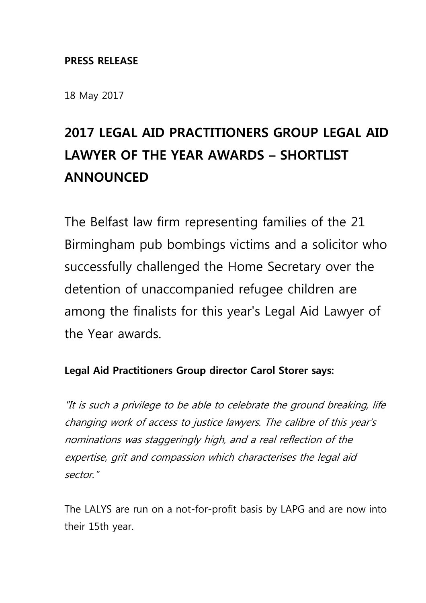#### **PRESS RELEASE**

18 May 2017

# **2017 LEGAL AID PRACTITIONERS GROUP LEGAL AID LAWYER OF THE YEAR AWARDS – SHORTLIST ANNOUNCED**

The Belfast law firm representing families of the 21 Birmingham pub bombings victims and a solicitor who successfully challenged the Home Secretary over the detention of unaccompanied refugee children are among the finalists for this year's Legal Aid Lawyer of the Year awards.

## **Legal Aid Practitioners Group director Carol Storer says:**

"It is such a privilege to be able to celebrate the ground breaking, life changing work of access to justice lawyers. The calibre of this year's nominations was staggeringly high, and a real reflection of the expertise, grit and compassion which characterises the legal aid sector."

The LALYS are run on a not-for-profit basis by LAPG and are now into their 15th year.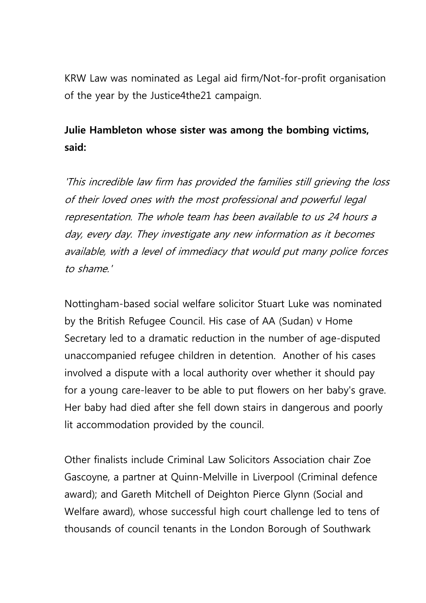KRW Law was nominated as Legal aid firm/Not-for-profit organisation of the year by the Justice4the21 campaign.

# **Julie Hambleton whose sister was among the bombing victims, said:**

'This incredible law firm has provided the families still grieving the loss of their loved ones with the most professional and powerful legal representation. The whole team has been available to us 24 hours a day, every day. They investigate any new information as it becomes available, with a level of immediacy that would put many police forces to shame.'

Nottingham-based social welfare solicitor Stuart Luke was nominated by the British Refugee Council. His case of AA (Sudan) v Home Secretary led to a dramatic reduction in the number of age-disputed unaccompanied refugee children in detention. Another of his cases involved a dispute with a local authority over whether it should pay for a young care-leaver to be able to put flowers on her baby's grave. Her baby had died after she fell down stairs in dangerous and poorly lit accommodation provided by the council.

Other finalists include Criminal Law Solicitors Association chair Zoe Gascoyne, a partner at Quinn-Melville in Liverpool (Criminal defence award); and Gareth Mitchell of Deighton Pierce Glynn (Social and Welfare award), whose successful high court challenge led to tens of thousands of council tenants in the London Borough of Southwark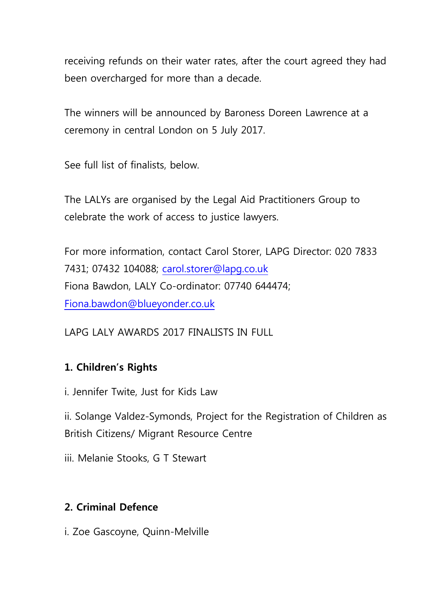receiving refunds on their water rates, after the court agreed they had been overcharged for more than a decade.

The winners will be announced by Baroness Doreen Lawrence at a ceremony in central London on 5 July 2017.

See full list of finalists, below.

The LALYs are organised by the Legal Aid Practitioners Group to celebrate the work of access to justice lawyers.

For more information, contact Carol Storer, LAPG Director: 020 7833 7431; 07432 104088; [carol.storer@lapg.co.uk](mailto:carol.storer@lapg.co.uk) Fiona Bawdon, LALY Co-ordinator: 07740 644474; [Fiona.bawdon@blueyonder.co.uk](mailto:Fiona.bawdon@blueyonder.co.uk)

LAPG LALY AWARDS 2017 FINALISTS IN FULL

## **1. Children's Rights**

i. Jennifer Twite, Just for Kids Law

ii. Solange Valdez-Symonds, Project for the Registration of Children as British Citizens/ Migrant Resource Centre

iii. Melanie Stooks, G T Stewart

## **2. Criminal Defence**

i. Zoe Gascoyne, Quinn-Melville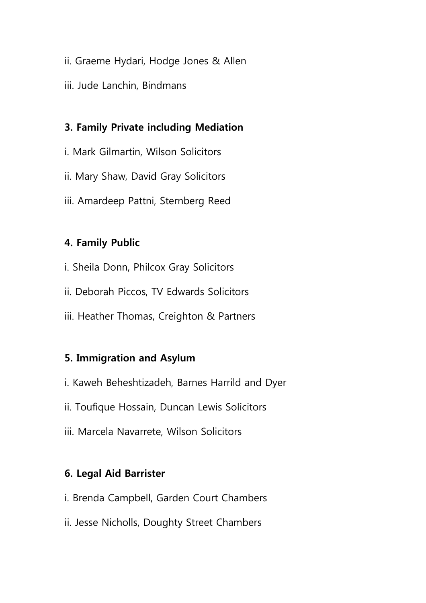- ii. Graeme Hydari, Hodge Jones & Allen
- iii. Jude Lanchin, Bindmans

#### **3. Family Private including Mediation**

i. Mark Gilmartin, Wilson Solicitors ii. Mary Shaw, David Gray Solicitors iii. Amardeep Pattni, Sternberg Reed

#### **4. Family Public**

- i. Sheila Donn, Philcox Gray Solicitors
- ii. Deborah Piccos, TV Edwards Solicitors
- iii. Heather Thomas, Creighton & Partners

#### **5. Immigration and Asylum**

- i. Kaweh Beheshtizadeh, Barnes Harrild and Dyer
- ii. Toufique Hossain, Duncan Lewis Solicitors
- iii. Marcela Navarrete, Wilson Solicitors

#### **6. Legal Aid Barrister**

- i. Brenda Campbell, Garden Court Chambers
- ii. Jesse Nicholls, Doughty Street Chambers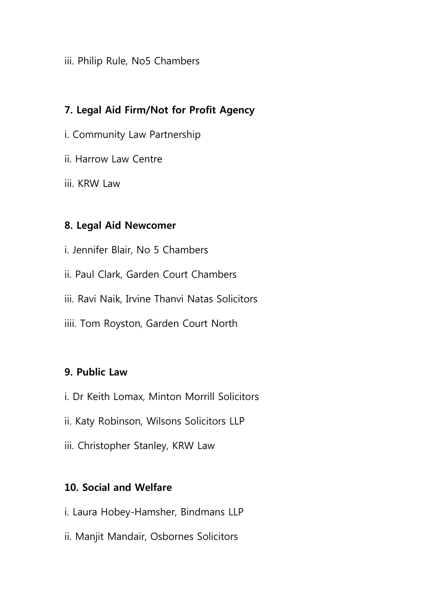iii. Philip Rule, No5 Chambers

## **7. Legal Aid Firm/Not for Profit Agency**

- i. Community Law Partnership
- ii. Harrow Law Centre
- iii. KRW Law

## **8. Legal Aid Newcomer**

i. Jennifer Blair, No 5 Chambers ii. Paul Clark, Garden Court Chambers iii. Ravi Naik, Irvine Thanvi Natas Solicitors iiii. Tom Royston, Garden Court North

## **9. Public Law**

- i. Dr Keith Lomax, Minton Morrill Solicitors
- ii. Katy Robinson, Wilsons Solicitors LLP
- iii. Christopher Stanley, KRW Law

## **10. Social and Welfare**

- i. Laura Hobey-Hamsher, Bindmans LLP
- ii. Manjit Mandair, Osbornes Solicitors